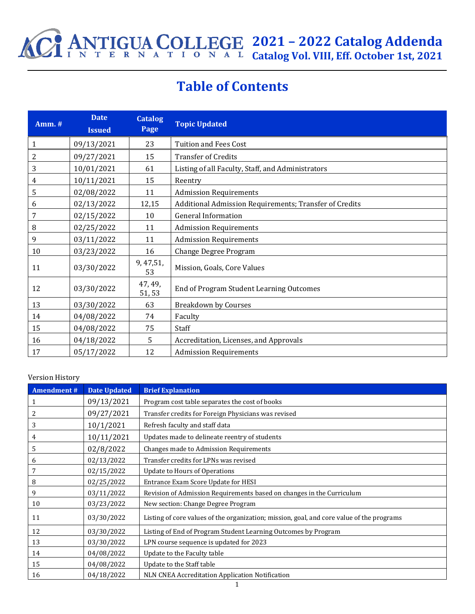

## **Table of Contents**

| <b>Amm.</b> # | <b>Date</b><br><b>Issued</b> | <b>Catalog</b><br>Page | <b>Topic Updated</b>                                   |  |
|---------------|------------------------------|------------------------|--------------------------------------------------------|--|
| 1             | 09/13/2021                   | 23                     | <b>Tuition and Fees Cost</b>                           |  |
| 2             | 09/27/2021                   | 15                     | <b>Transfer of Credits</b>                             |  |
| 3             | 10/01/2021                   | 61                     | Listing of all Faculty, Staff, and Administrators      |  |
| 4             | 10/11/2021                   | 15                     | Reentry                                                |  |
| 5             | 02/08/2022                   | 11                     | <b>Admission Requirements</b>                          |  |
| 6             | 02/13/2022                   | 12,15                  | Additional Admission Requirements; Transfer of Credits |  |
| 7             | 02/15/2022                   | 10                     | <b>General Information</b>                             |  |
| 8             | 02/25/2022                   | 11                     | <b>Admission Requirements</b>                          |  |
| 9             | 03/11/2022                   | 11                     | <b>Admission Requirements</b>                          |  |
| 10            | 03/23/2022                   | 16                     | Change Degree Program                                  |  |
| 11            | 03/30/2022                   | 9, 47, 51,<br>53       | Mission, Goals, Core Values                            |  |
| 12            | 03/30/2022                   | 47, 49,<br>51, 53      | End of Program Student Learning Outcomes               |  |
| 13            | 03/30/2022                   | 63                     | <b>Breakdown by Courses</b>                            |  |
| 14            | 04/08/2022                   | 74                     | Faculty                                                |  |
| 15            | 04/08/2022                   | 75                     | Staff                                                  |  |
| 16            | 04/18/2022                   | 5.                     | Accreditation, Licenses, and Approvals                 |  |
| 17            | 05/17/2022                   | 12                     | <b>Admission Requirements</b>                          |  |

#### Version History

| <b>Amendment#</b> | <b>Date Updated</b> | <b>Brief Explanation</b>                                                                  |
|-------------------|---------------------|-------------------------------------------------------------------------------------------|
| 1                 | 09/13/2021          | Program cost table separates the cost of books                                            |
| 2                 | 09/27/2021          | Transfer credits for Foreign Physicians was revised                                       |
| 3                 | 10/1/2021           | Refresh faculty and staff data                                                            |
| 4                 | 10/11/2021          | Updates made to delineate reentry of students                                             |
| 5                 | 02/8/2022           | Changes made to Admission Requirements                                                    |
| 6                 | 02/13/2022          | Transfer credits for LPNs was revised                                                     |
|                   | 02/15/2022          | <b>Update to Hours of Operations</b>                                                      |
| 8                 | 02/25/2022          | Entrance Exam Score Update for HESI                                                       |
| 9                 | 03/11/2022          | Revision of Admission Requirements based on changes in the Curriculum                     |
| 10                | 03/23/2022          | New section: Change Degree Program                                                        |
| 11                | 03/30/2022          | Listing of core values of the organization; mission, goal, and core value of the programs |
| 12                | 03/30/2022          | Listing of End of Program Student Learning Outcomes by Program                            |
| 13                | 03/30/2022          | LPN course sequence is updated for 2023                                                   |
| 14                | 04/08/2022          | Update to the Faculty table                                                               |
| 15                | 04/08/2022          | Update to the Staff table                                                                 |
| 16                | 04/18/2022          | NLN CNEA Accreditation Application Notification                                           |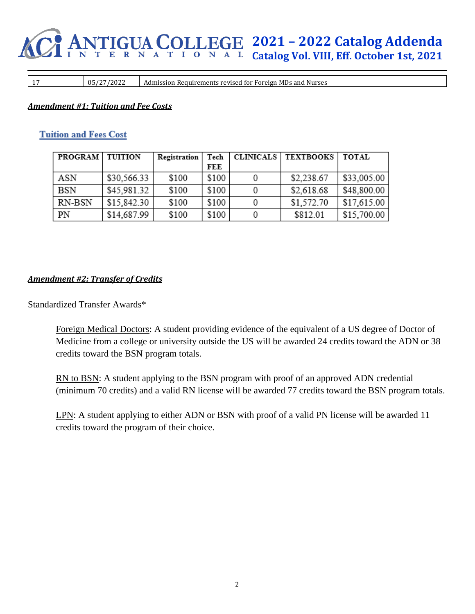# **2021 – 2022 Catalog Addenda Catalog Vol. VIII, Eff. October 1st, 2021**

17 05/27/2022 Admission Requirements revised for Foreign MDs and Nurses

#### *Amendment #1: Tuition and Fee Costs*

#### **Tuition and Fees Cost**

| PROGRAM   TUITION |             | Registration | Tech  | CLINICALS   TEXTBOOKS | TOTAL       |
|-------------------|-------------|--------------|-------|-----------------------|-------------|
|                   |             |              | FEE   |                       |             |
| ASN               | \$30,566.33 | \$100        | \$100 | \$2,238.67            | \$33,005.00 |
| <b>BSN</b>        | \$45,981.32 | \$100        | \$100 | \$2,618.68            | \$48,800.00 |
| RN-BSN            | \$15,842.30 | \$100        | \$100 | \$1,572.70            | \$17,615.00 |
| PN                | \$14,687.99 | \$100        | \$100 | \$812.01              | \$15,700.00 |

#### *Amendment #2: Transfer of Credits*

Standardized Transfer Awards\*

Foreign Medical Doctors: A student providing evidence of the equivalent of a US degree of Doctor of Medicine from a college or university outside the US will be awarded 24 credits toward the ADN or 38 credits toward the BSN program totals.

RN to BSN: A student applying to the BSN program with proof of an approved ADN credential (minimum 70 credits) and a valid RN license will be awarded 77 credits toward the BSN program totals.

LPN: A student applying to either ADN or BSN with proof of a valid PN license will be awarded 11 credits toward the program of their choice.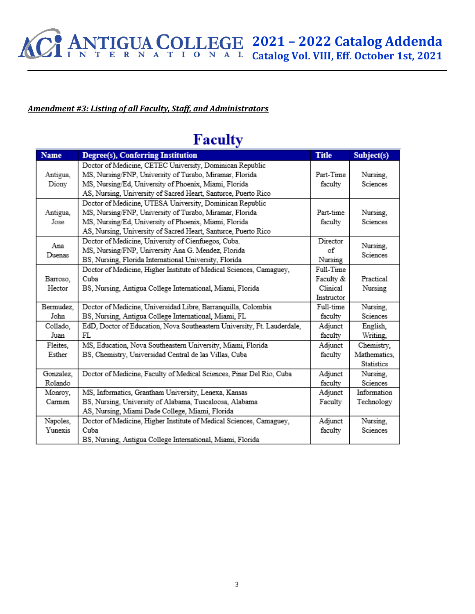## *Amendment #3: Listing of all Faculty, Staff, and Administrators*

## **Faculty**

| <b>Name</b> | Degree(s), Conferring Institution                                       | <b>Title</b> | Subject(s)           |
|-------------|-------------------------------------------------------------------------|--------------|----------------------|
|             | Doctor of Medicine, CETEC University, Dominican Republic                |              |                      |
| Antigua,    | MS, Nursing/FNP, University of Turabo, Miramar, Florida                 | Part-Time    | Nursing,             |
| Diony       | MS, Nursing/Ed, University of Phoenix, Miami, Florida                   | faculty      | Sciences             |
|             | AS, Nursing, University of Sacred Heart, Santurce, Puerto Rico          |              |                      |
|             | Doctor of Medicine, UTESA University, Dominican Republic                |              |                      |
| Antigua,    | MS, Nursing/FNP, University of Turabo, Miramar, Florida                 | Part-time    | Nursing,             |
| Jose        | MS, Nursing/Ed, University of Phoenix, Miami, Florida                   | faculty      | Sciences             |
|             | AS, Nursing, University of Sacred Heart, Santurce, Puerto Rico          |              |                      |
| Ana         | Doctor of Medicine, University of Cienfuegos, Cuba.                     | Director     |                      |
|             | MS, Nursing/FNP, University Ana G. Mendez, Florida                      | οf           | Nursing,<br>Sciences |
| Duenas      | BS, Nursing, Florida International University, Florida                  | Nursing      |                      |
|             | Doctor of Medicine, Higher Institute of Medical Sciences, Camaguey,     | Full-Time    |                      |
| Barroso,    | Cuba                                                                    | Faculty &    | Practical            |
| Hector      | BS, Nursing, Antigua College International, Miami, Florida              | Clinical     | Nursing              |
|             |                                                                         | Instructor   |                      |
| Bermudez,   | Doctor of Medicine, Universidad Libre, Barranquilla, Colombia           | Full-time    | Nursing,             |
| John        | BS, Nursing, Antigua College International, Miami, FL                   | faculty      | Sciences             |
| Collado,    | EdD, Doctor of Education, Nova Southeastern University, Ft. Lauderdale, | Adjunct      | English,             |
| Juan        | $\mathbb{FL}$                                                           | faculty      | Writing,             |
| Fleites,    | MS, Education, Nova Southeastern University, Miami, Florida             | Adjunct      | Chemistry,           |
| Esther      | BS, Chemistry, Universidad Central de las Villas, Cuba                  | faculty      | Mathematics,         |
|             |                                                                         |              | <b>Statistics</b>    |
| Gonzalez,   | Doctor of Medicine, Faculty of Medical Sciences, Pinar Del Rio, Cuba    | Adjunct      | Nursing,             |
| Rolando     |                                                                         | faculty      | Sciences             |
| Monroy,     | MS, Informatics, Grantham University, Lenexa, Kansas                    | Adjunct      | Information          |
| Carmen      | BS, Nursing, University of Alabama, Tuscaloosa, Alabama                 | Faculty      | Technology           |
|             | AS, Nursing, Miami Dade College, Miami, Florida                         |              |                      |
| Napoles,    | Doctor of Medicine, Higher Institute of Medical Sciences, Camaguey,     | Adjunct      | Nursing,             |
| Yunexis     | Cuba                                                                    | faculty      | Sciences             |
|             | BS. Nursing. Antigua College International. Miami. Florida              |              |                      |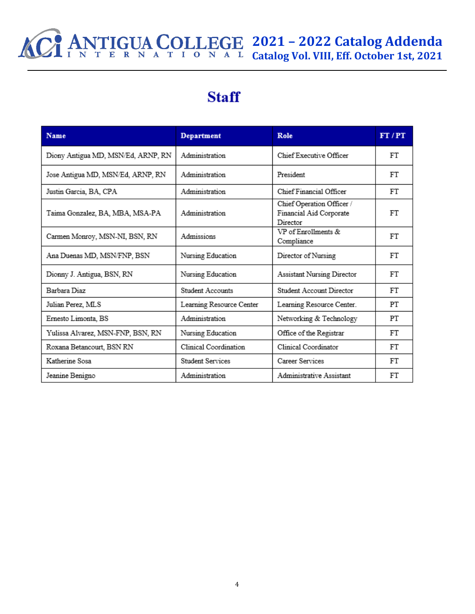## **2021 – 2022 Catalog Addenda Catalog Vol. VIII, Eff. October 1st, 2021**

# **Staff**

| <b>Name</b>                        | <b>Department</b>        | Role                                                             | FT/PT |
|------------------------------------|--------------------------|------------------------------------------------------------------|-------|
| Diony Antigua MD, MSN/Ed, ARNP, RN | Administration           | Chief Executive Officer                                          | FT    |
| Jose Antigua MD, MSN/Ed, ARNP, RN  | Administration           | President                                                        | FT    |
| Justin Garcia, BA, CPA             | Administration           | Chief Financial Officer                                          | FT    |
| Taima Gonzalez, BA, MBA, MSA-PA    | Administration           | Chief Operation Officer /<br>Financial Aid Corporate<br>Director | FT    |
| Carmen Monroy, MSN-NI, BSN, RN     | Admissions               | VP of Enrollments &<br>Compliance                                | FT    |
| Ana Duenas MD, MSN/FNP, BSN        | Nursing Education        | Director of Nursing                                              | FT    |
| Dionny J. Antigua, BSN, RN         | Nursing Education        | Assistant Nursing Director                                       | FT    |
| Barbara Diaz                       | Student Accounts         | Student Account Director                                         | FT    |
| Julian Perez, MLS                  | Learning Resource Center | Learning Resource Center.                                        | PT    |
| Ernesto Limonta, BS                | Administration           | Networking & Technology                                          | PT    |
| Yulissa Alvarez, MSN-FNP, BSN, RN  | Nursing Education        | Office of the Registrar                                          | FT    |
| Roxana Betancourt, BSN RN          | Clinical Coordination    | Clinical Coordinator                                             | FT    |
| Katherine Sosa                     | <b>Student Services</b>  | Career Services                                                  | FT    |
| Jeanine Benigno                    | Administration           | Administrative Assistant                                         | FT    |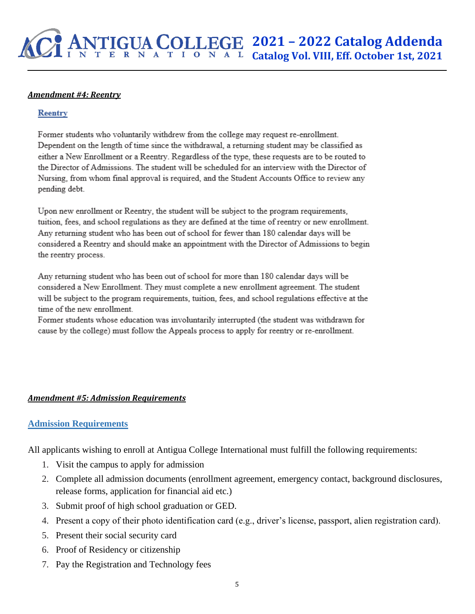#### *Amendment #4: Reentry*

#### **Reentry**

Former students who voluntarily withdrew from the college may request re-enrollment. Dependent on the length of time since the withdrawal, a returning student may be classified as either a New Enrollment or a Reentry. Regardless of the type, these requests are to be routed to the Director of Admissions. The student will be scheduled for an interview with the Director of Nursing, from whom final approval is required, and the Student Accounts Office to review any pending debt.

Upon new enrollment or Reentry, the student will be subject to the program requirements, tuition, fees, and school regulations as they are defined at the time of reentry or new enrollment. Any returning student who has been out of school for fewer than 180 calendar days will be considered a Reentry and should make an appointment with the Director of Admissions to begin the reentry process.

Any returning student who has been out of school for more than 180 calendar days will be considered a New Enrollment. They must complete a new enrollment agreement. The student will be subject to the program requirements, tuition, fees, and school regulations effective at the time of the new enrollment.

Former students whose education was involuntarily interrupted (the student was withdrawn for cause by the college) must follow the Appeals process to apply for reentry or re-enrollment.

### *Amendment #5: Admission Requirements*

### **Admission Requirements**

All applicants wishing to enroll at Antigua College International must fulfill the following requirements:

- 1. Visit the campus to apply for admission
- 2. Complete all admission documents (enrollment agreement, emergency contact, background disclosures, release forms, application for financial aid etc.)
- 3. Submit proof of high school graduation or GED.
- 4. Present a copy of their photo identification card (e.g., driver's license, passport, alien registration card).
- 5. Present their social security card
- 6. Proof of Residency or citizenship
- 7. Pay the Registration and Technology fees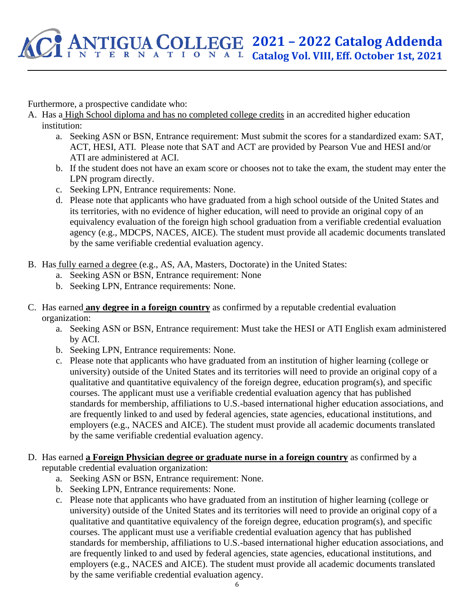Furthermore, a prospective candidate who:

- A. Has a High School diploma and has no completed college credits in an accredited higher education institution:
	- a. Seeking ASN or BSN, Entrance requirement: Must submit the scores for a standardized exam: SAT, ACT, HESI, ATI. Please note that SAT and ACT are provided by Pearson Vue and HESI and/or ATI are administered at ACI.
	- b. If the student does not have an exam score or chooses not to take the exam, the student may enter the LPN program directly.
	- c. Seeking LPN, Entrance requirements: None.
	- d. Please note that applicants who have graduated from a high school outside of the United States and its territories, with no evidence of higher education, will need to provide an original copy of an equivalency evaluation of the foreign high school graduation from a verifiable credential evaluation agency (e.g., MDCPS, NACES, AICE). The student must provide all academic documents translated by the same verifiable credential evaluation agency.
- B. Has fully earned a degree (e.g., AS, AA, Masters, Doctorate) in the United States:
	- a. Seeking ASN or BSN, Entrance requirement: None
	- b. Seeking LPN, Entrance requirements: None.
- C. Has earned **any degree in a foreign country** as confirmed by a reputable credential evaluation organization:
	- a. Seeking ASN or BSN, Entrance requirement: Must take the HESI or ATI English exam administered by ACI.
	- b. Seeking LPN, Entrance requirements: None.
	- c. Please note that applicants who have graduated from an institution of higher learning (college or university) outside of the United States and its territories will need to provide an original copy of a qualitative and quantitative equivalency of the foreign degree, education program(s), and specific courses. The applicant must use a verifiable credential evaluation agency that has published standards for membership, affiliations to U.S.-based international higher education associations, and are frequently linked to and used by federal agencies, state agencies, educational institutions, and employers (e.g., NACES and AICE). The student must provide all academic documents translated by the same verifiable credential evaluation agency.
- D. Has earned **a Foreign Physician degree or graduate nurse in a foreign country** as confirmed by a reputable credential evaluation organization:
	- a. Seeking ASN or BSN, Entrance requirement: None.
	- b. Seeking LPN, Entrance requirements: None.
	- c. Please note that applicants who have graduated from an institution of higher learning (college or university) outside of the United States and its territories will need to provide an original copy of a qualitative and quantitative equivalency of the foreign degree, education program(s), and specific courses. The applicant must use a verifiable credential evaluation agency that has published standards for membership, affiliations to U.S.-based international higher education associations, and are frequently linked to and used by federal agencies, state agencies, educational institutions, and employers (e.g., NACES and AICE). The student must provide all academic documents translated by the same verifiable credential evaluation agency.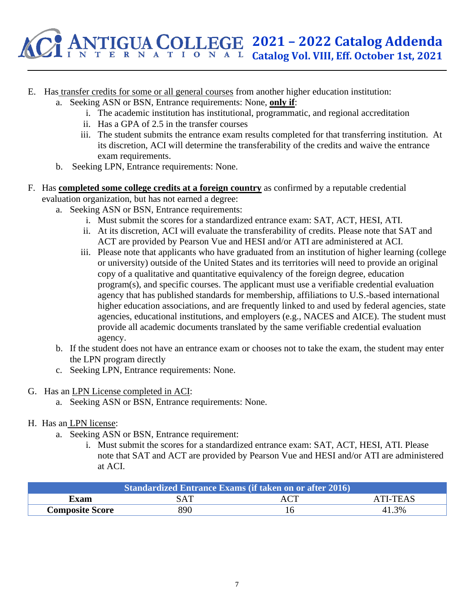

- E. Has transfer credits for some or all general courses from another higher education institution:
	- a. Seeking ASN or BSN, Entrance requirements: None, **only if**:
		- i. The academic institution has institutional, programmatic, and regional accreditation
		- ii. Has a GPA of 2.5 in the transfer courses
		- iii. The student submits the entrance exam results completed for that transferring institution. At its discretion, ACI will determine the transferability of the credits and waive the entrance exam requirements.
	- b. Seeking LPN, Entrance requirements: None.
- F. Has **completed some college credits at a foreign country** as confirmed by a reputable credential evaluation organization, but has not earned a degree:
	- a. Seeking ASN or BSN, Entrance requirements:
		- i. Must submit the scores for a standardized entrance exam: SAT, ACT, HESI, ATI.
		- ii. At its discretion, ACI will evaluate the transferability of credits. Please note that SAT and ACT are provided by Pearson Vue and HESI and/or ATI are administered at ACI.
		- iii. Please note that applicants who have graduated from an institution of higher learning (college or university) outside of the United States and its territories will need to provide an original copy of a qualitative and quantitative equivalency of the foreign degree, education program(s), and specific courses. The applicant must use a verifiable credential evaluation agency that has published standards for membership, affiliations to U.S.-based international higher education associations, and are frequently linked to and used by federal agencies, state agencies, educational institutions, and employers (e.g., NACES and AICE). The student must provide all academic documents translated by the same verifiable credential evaluation agency.
	- b. If the student does not have an entrance exam or chooses not to take the exam, the student may enter the LPN program directly
	- c. Seeking LPN, Entrance requirements: None.
- G. Has an LPN License completed in ACI:
	- a. Seeking ASN or BSN, Entrance requirements: None.
- H. Has an LPN license:
	- a. Seeking ASN or BSN, Entrance requirement:
		- i. Must submit the scores for a standardized entrance exam: SAT, ACT, HESI, ATI. Please note that SAT and ACT are provided by Pearson Vue and HESI and/or ATI are administered at ACI.

| Standardized Entrance Exams (if taken on or after 2016) |     |  |       |  |  |
|---------------------------------------------------------|-----|--|-------|--|--|
| ATI-TEAS<br>SAT<br>Exam-                                |     |  |       |  |  |
| <b>Composite Score</b>                                  | 890 |  | 41.3% |  |  |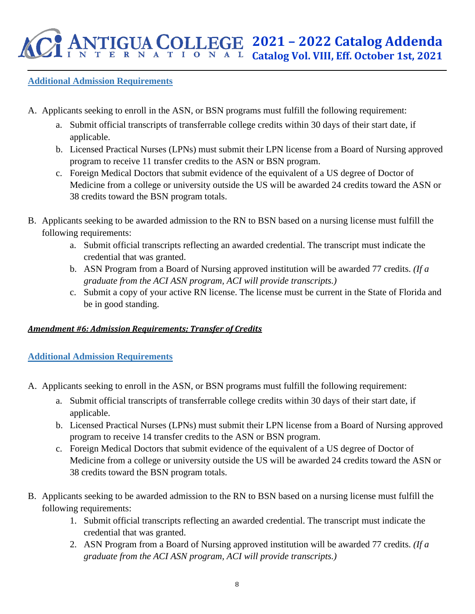## **Additional Admission Requirements**

- A. Applicants seeking to enroll in the ASN, or BSN programs must fulfill the following requirement:
	- a. Submit official transcripts of transferrable college credits within 30 days of their start date, if applicable.
	- b. Licensed Practical Nurses (LPNs) must submit their LPN license from a Board of Nursing approved program to receive 11 transfer credits to the ASN or BSN program.
	- c. Foreign Medical Doctors that submit evidence of the equivalent of a US degree of Doctor of Medicine from a college or university outside the US will be awarded 24 credits toward the ASN or 38 credits toward the BSN program totals.
- B. Applicants seeking to be awarded admission to the RN to BSN based on a nursing license must fulfill the following requirements:
	- a. Submit official transcripts reflecting an awarded credential. The transcript must indicate the credential that was granted.
	- b. ASN Program from a Board of Nursing approved institution will be awarded 77 credits. *(If a graduate from the ACI ASN program, ACI will provide transcripts.)*
	- c. Submit a copy of your active RN license. The license must be current in the State of Florida and be in good standing.

## *Amendment #6: Admission Requirements; Transfer of Credits*

## **Additional Admission Requirements**

- A. Applicants seeking to enroll in the ASN, or BSN programs must fulfill the following requirement:
	- a. Submit official transcripts of transferrable college credits within 30 days of their start date, if applicable.
	- b. Licensed Practical Nurses (LPNs) must submit their LPN license from a Board of Nursing approved program to receive 14 transfer credits to the ASN or BSN program.
	- c. Foreign Medical Doctors that submit evidence of the equivalent of a US degree of Doctor of Medicine from a college or university outside the US will be awarded 24 credits toward the ASN or 38 credits toward the BSN program totals.
- B. Applicants seeking to be awarded admission to the RN to BSN based on a nursing license must fulfill the following requirements:
	- 1. Submit official transcripts reflecting an awarded credential. The transcript must indicate the credential that was granted.
	- 2. ASN Program from a Board of Nursing approved institution will be awarded 77 credits. *(If a graduate from the ACI ASN program, ACI will provide transcripts.)*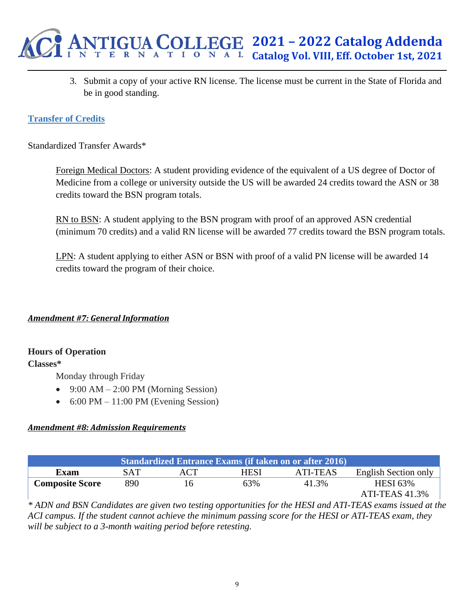

3. Submit a copy of your active RN license. The license must be current in the State of Florida and be in good standing.

## **Transfer of Credits**

Standardized Transfer Awards\*

Foreign Medical Doctors: A student providing evidence of the equivalent of a US degree of Doctor of Medicine from a college or university outside the US will be awarded 24 credits toward the ASN or 38 credits toward the BSN program totals.

RN to BSN: A student applying to the BSN program with proof of an approved ASN credential (minimum 70 credits) and a valid RN license will be awarded 77 credits toward the BSN program totals.

LPN: A student applying to either ASN or BSN with proof of a valid PN license will be awarded 14 credits toward the program of their choice.

*Amendment #7: General Information*

## **Hours of Operation**

### **Classes\***

Monday through Friday

- 9:00 AM 2:00 PM (Morning Session)
- $6:00 \text{ PM} 11:00 \text{ PM}$  (Evening Session)

### *Amendment #8: Admission Requirements*

| <b>Standardized Entrance Exams (if taken on or after 2016)</b> |                |     |      |          |                      |  |  |
|----------------------------------------------------------------|----------------|-----|------|----------|----------------------|--|--|
| <b>Exam</b>                                                    | SAT            | ACT | HESI | ATI-TEAS | English Section only |  |  |
| <b>Composite Score</b>                                         | 890            | I h | 63%  | 41.3%    | <b>HESI 63%</b>      |  |  |
|                                                                | ATI-TEAS 41.3% |     |      |          |                      |  |  |

*\* ADN and BSN Candidates are given two testing opportunities for the HESI and ATI-TEAS exams issued at the ACI campus. If the student cannot achieve the minimum passing score for the HESI or ATI-TEAS exam, they will be subject to a 3-month waiting period before retesting.*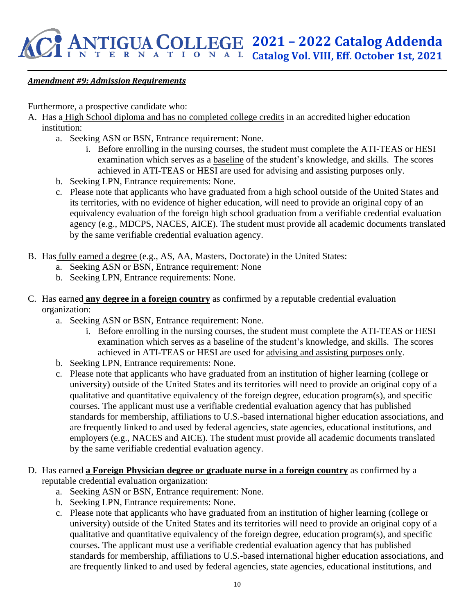## *Amendment #9: Admission Requirements*

Furthermore, a prospective candidate who:

- A. Has a High School diploma and has no completed college credits in an accredited higher education institution:
	- a. Seeking ASN or BSN, Entrance requirement: None.
		- i. Before enrolling in the nursing courses, the student must complete the ATI-TEAS or HESI examination which serves as a baseline of the student's knowledge, and skills. The scores achieved in ATI-TEAS or HESI are used for advising and assisting purposes only.
	- b. Seeking LPN, Entrance requirements: None.
	- c. Please note that applicants who have graduated from a high school outside of the United States and its territories, with no evidence of higher education, will need to provide an original copy of an equivalency evaluation of the foreign high school graduation from a verifiable credential evaluation agency (e.g., MDCPS, NACES, AICE). The student must provide all academic documents translated by the same verifiable credential evaluation agency.
- B. Has fully earned a degree (e.g., AS, AA, Masters, Doctorate) in the United States:
	- a. Seeking ASN or BSN, Entrance requirement: None
	- b. Seeking LPN, Entrance requirements: None.
- C. Has earned **any degree in a foreign country** as confirmed by a reputable credential evaluation organization:
	- a. Seeking ASN or BSN, Entrance requirement: None.
		- i. Before enrolling in the nursing courses, the student must complete the ATI-TEAS or HESI examination which serves as a baseline of the student's knowledge, and skills. The scores achieved in ATI-TEAS or HESI are used for advising and assisting purposes only.
	- b. Seeking LPN, Entrance requirements: None.
	- c. Please note that applicants who have graduated from an institution of higher learning (college or university) outside of the United States and its territories will need to provide an original copy of a qualitative and quantitative equivalency of the foreign degree, education program(s), and specific courses. The applicant must use a verifiable credential evaluation agency that has published standards for membership, affiliations to U.S.-based international higher education associations, and are frequently linked to and used by federal agencies, state agencies, educational institutions, and employers (e.g., NACES and AICE). The student must provide all academic documents translated by the same verifiable credential evaluation agency.
- D. Has earned **a Foreign Physician degree or graduate nurse in a foreign country** as confirmed by a reputable credential evaluation organization:
	- a. Seeking ASN or BSN, Entrance requirement: None.
	- b. Seeking LPN, Entrance requirements: None.
	- c. Please note that applicants who have graduated from an institution of higher learning (college or university) outside of the United States and its territories will need to provide an original copy of a qualitative and quantitative equivalency of the foreign degree, education program(s), and specific courses. The applicant must use a verifiable credential evaluation agency that has published standards for membership, affiliations to U.S.-based international higher education associations, and are frequently linked to and used by federal agencies, state agencies, educational institutions, and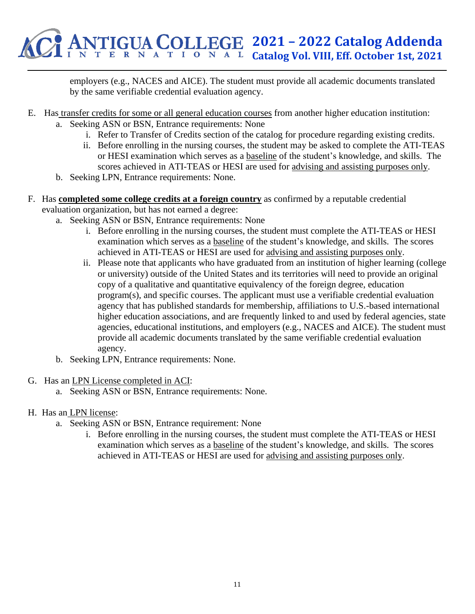

employers (e.g., NACES and AICE). The student must provide all academic documents translated by the same verifiable credential evaluation agency.

- E. Has transfer credits for some or all general education courses from another higher education institution:
	- a. Seeking ASN or BSN, Entrance requirements: None
		- i. Refer to Transfer of Credits section of the catalog for procedure regarding existing credits.
		- ii. Before enrolling in the nursing courses, the student may be asked to complete the ATI-TEAS or HESI examination which serves as a baseline of the student's knowledge, and skills. The scores achieved in ATI-TEAS or HESI are used for advising and assisting purposes only.
	- b. Seeking LPN, Entrance requirements: None.
- F. Has **completed some college credits at a foreign country** as confirmed by a reputable credential evaluation organization, but has not earned a degree:
	- a. Seeking ASN or BSN, Entrance requirements: None
		- i. Before enrolling in the nursing courses, the student must complete the ATI-TEAS or HESI examination which serves as a baseline of the student's knowledge, and skills. The scores achieved in ATI-TEAS or HESI are used for advising and assisting purposes only.
		- ii. Please note that applicants who have graduated from an institution of higher learning (college or university) outside of the United States and its territories will need to provide an original copy of a qualitative and quantitative equivalency of the foreign degree, education program(s), and specific courses. The applicant must use a verifiable credential evaluation agency that has published standards for membership, affiliations to U.S.-based international higher education associations, and are frequently linked to and used by federal agencies, state agencies, educational institutions, and employers (e.g., NACES and AICE). The student must provide all academic documents translated by the same verifiable credential evaluation agency.
	- b. Seeking LPN, Entrance requirements: None.
- G. Has an LPN License completed in ACI:
	- a. Seeking ASN or BSN, Entrance requirements: None.
- H. Has an LPN license:
	- a. Seeking ASN or BSN, Entrance requirement: None
		- i. Before enrolling in the nursing courses, the student must complete the ATI-TEAS or HESI examination which serves as a baseline of the student's knowledge, and skills. The scores achieved in ATI-TEAS or HESI are used for advising and assisting purposes only.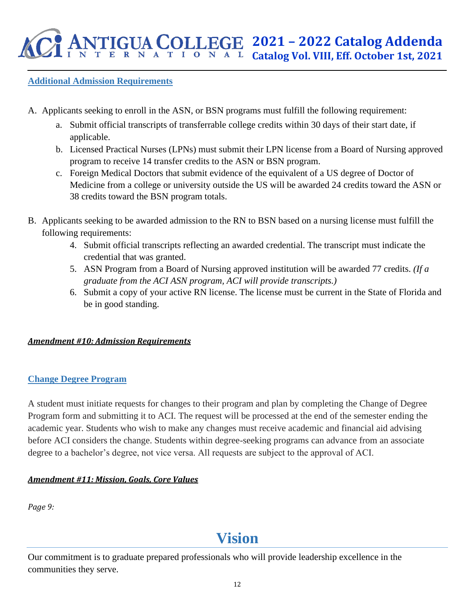## **Additional Admission Requirements**

- A. Applicants seeking to enroll in the ASN, or BSN programs must fulfill the following requirement:
	- a. Submit official transcripts of transferrable college credits within 30 days of their start date, if applicable.
	- b. Licensed Practical Nurses (LPNs) must submit their LPN license from a Board of Nursing approved program to receive 14 transfer credits to the ASN or BSN program.
	- c. Foreign Medical Doctors that submit evidence of the equivalent of a US degree of Doctor of Medicine from a college or university outside the US will be awarded 24 credits toward the ASN or 38 credits toward the BSN program totals.
- B. Applicants seeking to be awarded admission to the RN to BSN based on a nursing license must fulfill the following requirements:
	- 4. Submit official transcripts reflecting an awarded credential. The transcript must indicate the credential that was granted.
	- 5. ASN Program from a Board of Nursing approved institution will be awarded 77 credits. *(If a graduate from the ACI ASN program, ACI will provide transcripts.)*
	- 6. Submit a copy of your active RN license. The license must be current in the State of Florida and be in good standing.

## *Amendment #10: Admission Requirements*

## **Change Degree Program**

A student must initiate requests for changes to their program and plan by completing the Change of Degree Program form and submitting it to ACI. The request will be processed at the end of the semester ending the academic year. Students who wish to make any changes must receive academic and financial aid advising before ACI considers the change. Students within degree-seeking programs can advance from an associate degree to a bachelor's degree, not vice versa. All requests are subject to the approval of ACI.

## *Amendment #11: Mission, Goals, Core Values*

*Page 9:*

# **Vision**

Our commitment is to graduate prepared professionals who will provide leadership excellence in the communities they serve.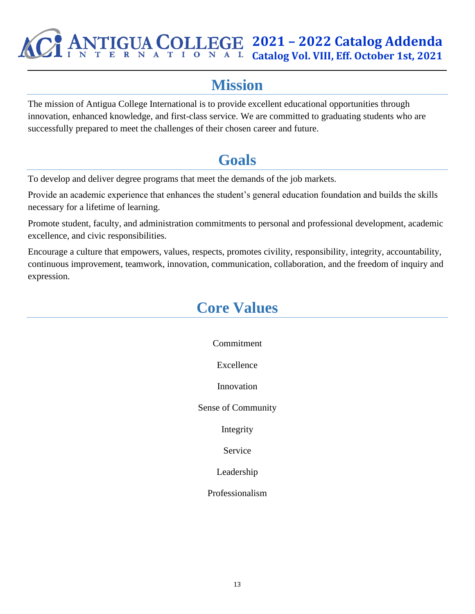## **2021 – 2022 Catalog Addenda**<br>**2021 – 2022 Catalog Addenda**  $\sum_{N}$  **A**  $\sum_{K}$  **E**  $\sum_{N}$  **A**  $\sum_{N}$  **C**<sub>2</sub> **Catalog Vol. VIII. Eff. October 1st. 2021 Catalog Vol. VIII, Eff. October 1st, 2021**

# **Mission**

The mission of Antigua College International is to provide excellent educational opportunities through innovation, enhanced knowledge, and first-class service. We are committed to graduating students who are successfully prepared to meet the challenges of their chosen career and future.

# **Goals**

To develop and deliver degree programs that meet the demands of the job markets.

Provide an academic experience that enhances the student's general education foundation and builds the skills necessary for a lifetime of learning.

Promote student, faculty, and administration commitments to personal and professional development, academic excellence, and civic responsibilities.

Encourage a culture that empowers, values, respects, promotes civility, responsibility, integrity, accountability, continuous improvement, teamwork, innovation, communication, collaboration, and the freedom of inquiry and expression.

## **Core Values**

Commitment Excellence Innovation Sense of Community Integrity Service Leadership Professionalism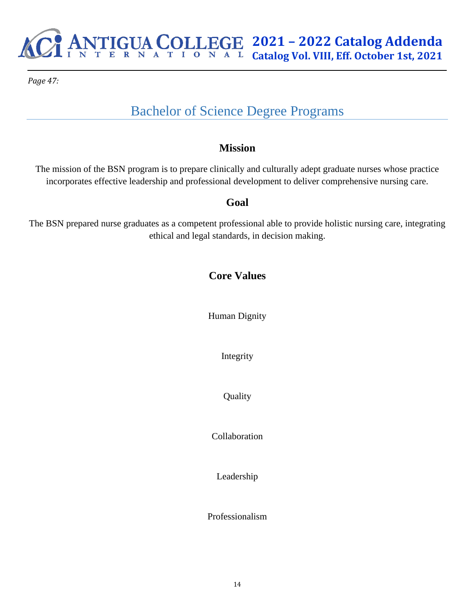

*Page 47:*

## Bachelor of Science Degree Programs

## **Mission**

The mission of the BSN program is to prepare clinically and culturally adept graduate nurses whose practice incorporates effective leadership and professional development to deliver comprehensive nursing care.

## **Goal**

The BSN prepared nurse graduates as a competent professional able to provide holistic nursing care, integrating ethical and legal standards, in decision making.

## **Core Values**

Human Dignity

Integrity

**Quality** 

Collaboration

Leadership

Professionalism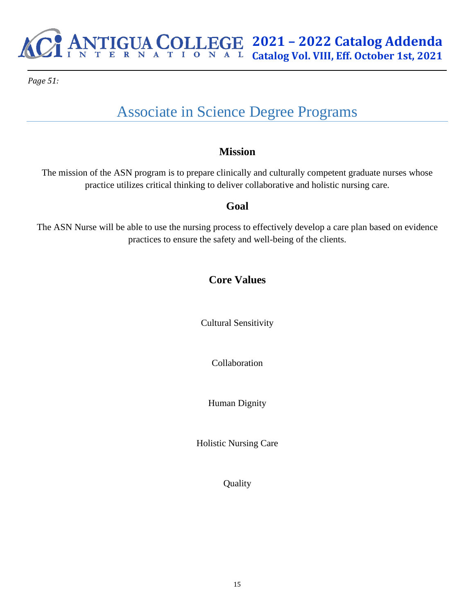*Page 51:*

# Associate in Science Degree Programs

## **Mission**

The mission of the ASN program is to prepare clinically and culturally competent graduate nurses whose practice utilizes critical thinking to deliver collaborative and holistic nursing care.

## **Goal**

The ASN Nurse will be able to use the nursing process to effectively develop a care plan based on evidence practices to ensure the safety and well-being of the clients.

## **Core Values**

Cultural Sensitivity

Collaboration

Human Dignity

Holistic Nursing Care

Quality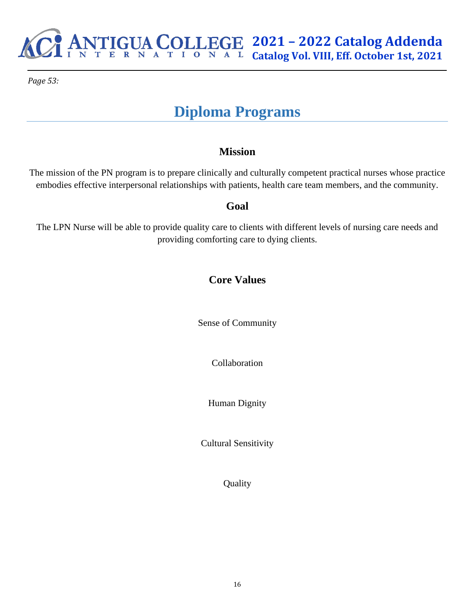

*Page 53:*

# **Diploma Programs**

## **Mission**

The mission of the PN program is to prepare clinically and culturally competent practical nurses whose practice embodies effective interpersonal relationships with patients, health care team members, and the community.

## **Goal**

The LPN Nurse will be able to provide quality care to clients with different levels of nursing care needs and providing comforting care to dying clients.

## **Core Values**

Sense of Community

Collaboration

Human Dignity

Cultural Sensitivity

Quality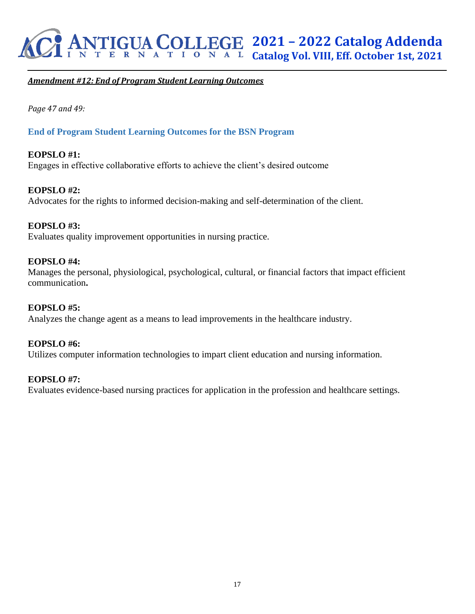

### *Amendment #12: End of Program Student Learning Outcomes*

*Page 47 and 49:*

### **End of Program Student Learning Outcomes for the BSN Program**

### **EOPSLO #1:** Engages in effective collaborative efforts to achieve the client's desired outcome

**EOPSLO #2:** Advocates for the rights to informed decision-making and self-determination of the client.

#### **EOPSLO #3:**

Evaluates quality improvement opportunities in nursing practice.

#### **EOPSLO #4:**

Manages the personal, physiological, psychological, cultural, or financial factors that impact efficient communication**.** 

### **EOPSLO #5:**

Analyzes the change agent as a means to lead improvements in the healthcare industry.

#### **EOPSLO #6:**

Utilizes computer information technologies to impart client education and nursing information.

#### **EOPSLO #7:**

Evaluates evidence-based nursing practices for application in the profession and healthcare settings.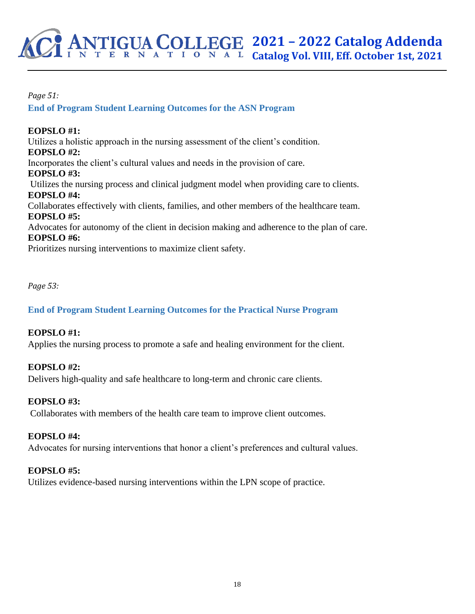*Page 51:*

**End of Program Student Learning Outcomes for the ASN Program**

## **EOPSLO #1:**

Utilizes a holistic approach in the nursing assessment of the client's condition. **EOPSLO #2:** Incorporates the client's cultural values and needs in the provision of care. **EOPSLO #3:** Utilizes the nursing process and clinical judgment model when providing care to clients. **EOPSLO #4:** Collaborates effectively with clients, families, and other members of the healthcare team. **EOPSLO #5:** Advocates for autonomy of the client in decision making and adherence to the plan of care. **EOPSLO #6:** Prioritizes nursing interventions to maximize client safety.

*Page 53:*

## **End of Program Student Learning Outcomes for the Practical Nurse Program**

## **EOPSLO #1:**

Applies the nursing process to promote a safe and healing environment for the client.

## **EOPSLO #2:**

Delivers high-quality and safe healthcare to long-term and chronic care clients.

## **EOPSLO #3:**

Collaborates with members of the health care team to improve client outcomes.

## **EOPSLO #4:**

Advocates for nursing interventions that honor a client's preferences and cultural values.

## **EOPSLO #5:**

Utilizes evidence-based nursing interventions within the LPN scope of practice.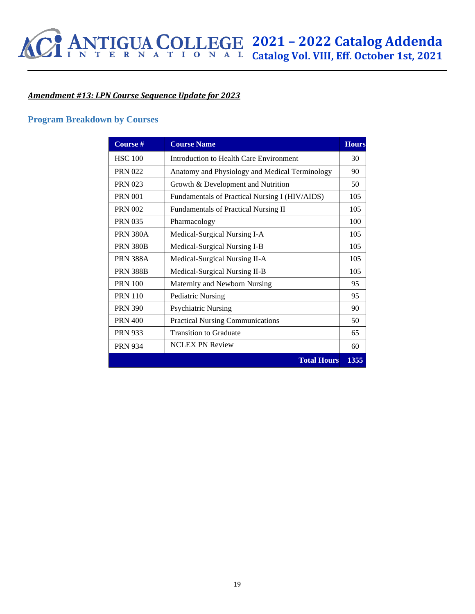## *Amendment #13: LPN Course Sequence Update for 2023*

### **Program Breakdown by Courses**

| Course #        | <b>Course Name</b>                             | <b>Hours</b> |
|-----------------|------------------------------------------------|--------------|
| <b>HSC 100</b>  | Introduction to Health Care Environment        | 30           |
| <b>PRN 022</b>  | Anatomy and Physiology and Medical Terminology | 90           |
| <b>PRN 023</b>  | Growth & Development and Nutrition             | 50           |
| <b>PRN 001</b>  | Fundamentals of Practical Nursing I (HIV/AIDS) | 105          |
| <b>PRN 002</b>  | <b>Fundamentals of Practical Nursing II</b>    | 105          |
| <b>PRN 035</b>  | Pharmacology                                   | 100          |
| <b>PRN 380A</b> | Medical-Surgical Nursing I-A                   | 105          |
| <b>PRN 380B</b> | Medical-Surgical Nursing I-B                   | 105          |
| <b>PRN 388A</b> | Medical-Surgical Nursing II-A                  | 105          |
| <b>PRN 388B</b> | Medical-Surgical Nursing II-B                  | 105          |
| <b>PRN 100</b>  | Maternity and Newborn Nursing                  | 95           |
| <b>PRN 110</b>  | <b>Pediatric Nursing</b>                       | 95           |
| <b>PRN 390</b>  | <b>Psychiatric Nursing</b>                     | 90           |
| <b>PRN 400</b>  | <b>Practical Nursing Communications</b>        | 50           |
| <b>PRN 933</b>  | <b>Transition to Graduate</b>                  | 65           |
| <b>PRN 934</b>  | <b>NCLEX PN Review</b>                         | 60           |
|                 | <b>Total Hours</b>                             | 1355         |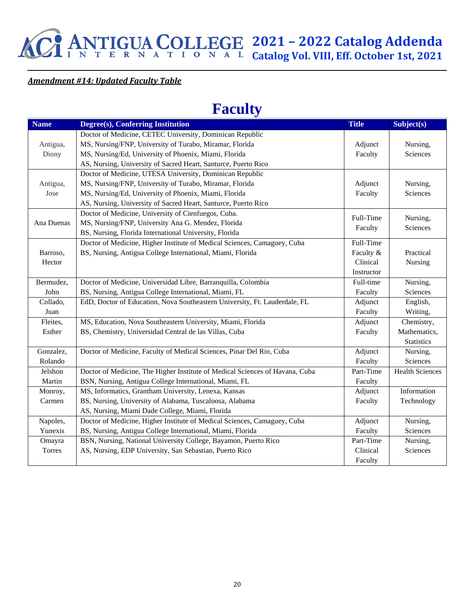

### *Amendment #14: Updated Faculty Table*

## **Faculty**

| <b>Name</b> | Degree(s), Conferring Institution                                            | <b>Title</b> | Subject(s)             |
|-------------|------------------------------------------------------------------------------|--------------|------------------------|
|             | Doctor of Medicine, CETEC University, Dominican Republic                     |              |                        |
| Antigua,    | MS, Nursing/FNP, University of Turabo, Miramar, Florida                      | Adjunct      | Nursing,               |
| Diony       | MS, Nursing/Ed, University of Phoenix, Miami, Florida                        | Faculty      | Sciences               |
|             | AS, Nursing, University of Sacred Heart, Santurce, Puerto Rico               |              |                        |
|             | Doctor of Medicine, UTESA University, Dominican Republic                     |              |                        |
| Antigua,    | MS, Nursing/FNP, University of Turabo, Miramar, Florida                      | Adjunct      | Nursing,               |
| Jose        | MS, Nursing/Ed, University of Phoenix, Miami, Florida                        | Faculty      | Sciences               |
|             | AS, Nursing, University of Sacred Heart, Santurce, Puerto Rico               |              |                        |
|             | Doctor of Medicine, University of Cienfuegos, Cuba.                          | Full-Time    |                        |
| Ana Duenas  | MS, Nursing/FNP, University Ana G. Mendez, Florida                           | Faculty      | Nursing,<br>Sciences   |
|             | BS, Nursing, Florida International University, Florida                       |              |                        |
|             | Doctor of Medicine, Higher Institute of Medical Sciences, Camaguey, Cuba     | Full-Time    |                        |
| Barroso,    | BS, Nursing, Antigua College International, Miami, Florida                   | Faculty &    | Practical              |
| Hector      |                                                                              | Clinical     | Nursing                |
|             |                                                                              | Instructor   |                        |
| Bermudez,   | Doctor of Medicine, Universidad Libre, Barranquilla, Colombia                | Full-time    | Nursing,               |
| John        | BS, Nursing, Antigua College International, Miami, FL                        | Faculty      | Sciences               |
| Collado,    | EdD, Doctor of Education, Nova Southeastern University, Ft. Lauderdale, FL   | Adjunct      | English,               |
| Juan        |                                                                              | Faculty      | Writing,               |
| Fleites,    | MS, Education, Nova Southeastern University, Miami, Florida                  | Adjunct      | Chemistry,             |
| Esther      | BS, Chemistry, Universidad Central de las Villas, Cuba                       | Faculty      | Mathematics,           |
|             |                                                                              |              | <b>Statistics</b>      |
| Gonzalez,   | Doctor of Medicine, Faculty of Medical Sciences, Pinar Del Rio, Cuba         | Adjunct      | Nursing,               |
| Rolando     |                                                                              | Faculty      | Sciences               |
| Jelshon     | Doctor of Medicine, The Higher Institute of Medical Sciences of Havana, Cuba | Part-Time    | <b>Health Sciences</b> |
| Martin      | BSN, Nursing, Antigua College International, Miami, FL                       | Faculty      |                        |
| Monroy,     | MS, Informatics, Grantham University, Lenexa, Kansas                         | Adjunct      | Information            |
| Carmen      | BS, Nursing, University of Alabama, Tuscaloosa, Alabama                      | Faculty      | Technology             |
|             | AS, Nursing, Miami Dade College, Miami, Florida                              |              |                        |
| Napoles,    | Doctor of Medicine, Higher Institute of Medical Sciences, Camaguey, Cuba     | Adjunct      | Nursing,               |
| Yunexis     | BS, Nursing, Antigua College International, Miami, Florida                   | Faculty      | Sciences               |
| Omayra      | BSN, Nursing, National University College, Bayamon, Puerto Rico              | Part-Time    | Nursing,               |
| Torres      | AS, Nursing, EDP University, San Sebastian, Puerto Rico                      | Clinical     | Sciences               |
|             |                                                                              | Faculty      |                        |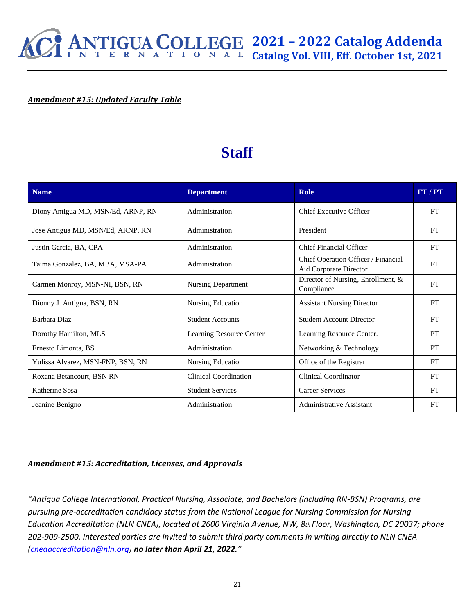

#### *Amendment #15: Updated Faculty Table*

## **Staff**

| <b>Name</b>                        | <b>Department</b>            | <b>Role</b>                                                   | FT/PT     |
|------------------------------------|------------------------------|---------------------------------------------------------------|-----------|
| Diony Antigua MD, MSN/Ed, ARNP, RN | Administration               | <b>Chief Executive Officer</b>                                | FT        |
| Jose Antigua MD, MSN/Ed, ARNP, RN  | Administration               | President                                                     | FT        |
| Justin Garcia, BA, CPA             | Administration               | Chief Financial Officer                                       | FT        |
| Taima Gonzalez, BA, MBA, MSA-PA    | Administration               | Chief Operation Officer / Financial<br>Aid Corporate Director | FT        |
| Carmen Monroy, MSN-NI, BSN, RN     | <b>Nursing Department</b>    | Director of Nursing, Enrollment, &<br>Compliance              | FT        |
| Dionny J. Antigua, BSN, RN         | Nursing Education            | <b>Assistant Nursing Director</b>                             | FT        |
| Barbara Diaz                       | <b>Student Accounts</b>      | <b>Student Account Director</b>                               | FT        |
| Dorothy Hamilton, MLS              | Learning Resource Center     | Learning Resource Center.                                     | PT        |
| Ernesto Limonta, BS                | Administration               | Networking & Technology                                       | PT        |
| Yulissa Alvarez, MSN-FNP, BSN, RN  | Nursing Education            | Office of the Registrar                                       | FT        |
| Roxana Betancourt, BSN RN          | <b>Clinical Coordination</b> | <b>Clinical Coordinator</b>                                   | FT        |
| Katherine Sosa                     | <b>Student Services</b>      | <b>Career Services</b>                                        | FT        |
| Jeanine Benigno                    | Administration               | <b>Administrative Assistant</b>                               | <b>FT</b> |

#### *Amendment #15: Accreditation, Licenses, and Approvals*

*"Antigua College International, Practical Nursing, Associate, and Bachelors (including RN-BSN) Programs, are pursuing pre-accreditation candidacy status from the National League for Nursing Commission for Nursing Education Accreditation (NLN CNEA), located at 2600 Virginia Avenue, NW, 8th Floor, Washington, DC 20037; phone 202-909-2500. Interested parties are invited to submit third party comments in writing directly to NLN CNEA (cneaaccreditation@nln.org) no later than April 21, 2022."*